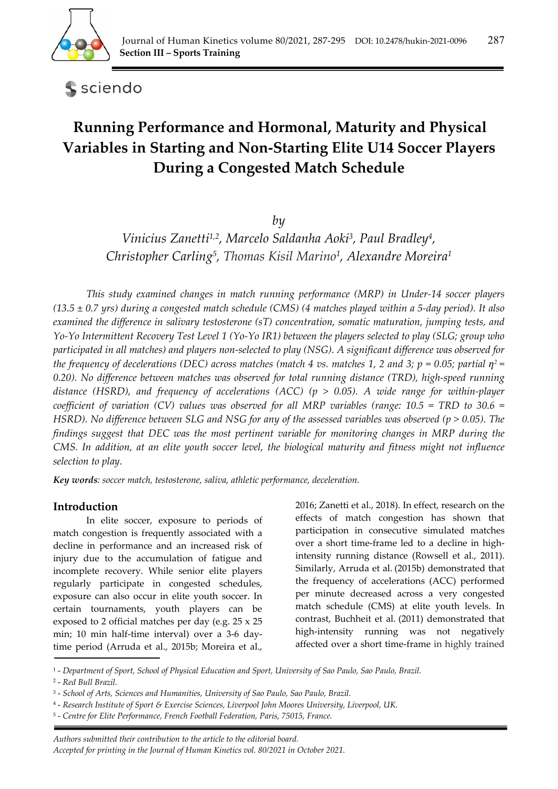

sciendo

# **Running Performance and Hormonal, Maturity and Physical Variables in Starting and Non-Starting Elite U14 Soccer Players During a Congested Match Schedule**

*by* 

*Vinicius Zanetti1,2, Marcelo Saldanha Aoki3, Paul Bradley4, Christopher Carling5, Thomas Kisil Marino1, Alexandre Moreira1*

*This study examined changes in match running performance (MRP) in Under-14 soccer players (13.5 ± 0.7 yrs) during a congested match schedule (CMS) (4 matches played within a 5-day period). It also examined the difference in salivary testosterone (sT) concentration, somatic maturation, jumping tests, and Yo-Yo Intermittent Recovery Test Level 1 (Yo-Yo IR1) between the players selected to play (SLG; group who participated in all matches) and players non-selected to play (NSG). A significant difference was observed for the frequency of decelerations (DEC) across matches (match 4 vs. matches 1, 2 and 3; p = 0.05; partial*  $\eta^2$  *= 0.20). No difference between matches was observed for total running distance (TRD), high-speed running distance (HSRD), and frequency of accelerations (ACC) (p > 0.05). A wide range for within-player coefficient of variation (CV) values was observed for all MRP variables (range: 10.5 = TRD to 30.6 = HSRD). No difference between SLG and NSG for any of the assessed variables was observed (p > 0.05). The findings suggest that DEC was the most pertinent variable for monitoring changes in MRP during the CMS. In addition, at an elite youth soccer level, the biological maturity and fitness might not influence selection to play.*

*Key words: soccer match, testosterone, saliva, athletic performance, deceleration.* 

# **Introduction**

In elite soccer, exposure to periods of match congestion is frequently associated with a decline in performance and an increased risk of injury due to the accumulation of fatigue and incomplete recovery. While senior elite players regularly participate in congested schedules, exposure can also occur in elite youth soccer. In certain tournaments, youth players can be exposed to 2 official matches per day (e.g. 25 x 25 min; 10 min half-time interval) over a 3-6 daytime period (Arruda et al., 2015b; Moreira et al.,

2016; Zanetti et al., 2018). In effect, research on the effects of match congestion has shown that participation in consecutive simulated matches over a short time-frame led to a decline in highintensity running distance (Rowsell et al., 2011). Similarly, Arruda et al. (2015b) demonstrated that the frequency of accelerations (ACC) performed per minute decreased across a very congested match schedule (CMS) at elite youth levels. In contrast, Buchheit et al. (2011) demonstrated that high-intensity running was not negatively affected over a short time-frame in highly trained

2 - *Red Bull Brazil.* 

<sup>1 -</sup> *Department of Sport, School of Physical Education and Sport, University of Sao Paulo, Sao Paulo, Brazil.* 

<sup>3 -</sup> *School of Arts, Sciences and Humanities, University of Sao Paulo, Sao Paulo, Brazil.* 

<sup>4 -</sup> *Research Institute of Sport & Exercise Sciences, Liverpool John Moores University, Liverpool, UK.* 

<sup>5 -</sup> *Centre for Elite Performance, French Football Federation, Paris, 75015, France.*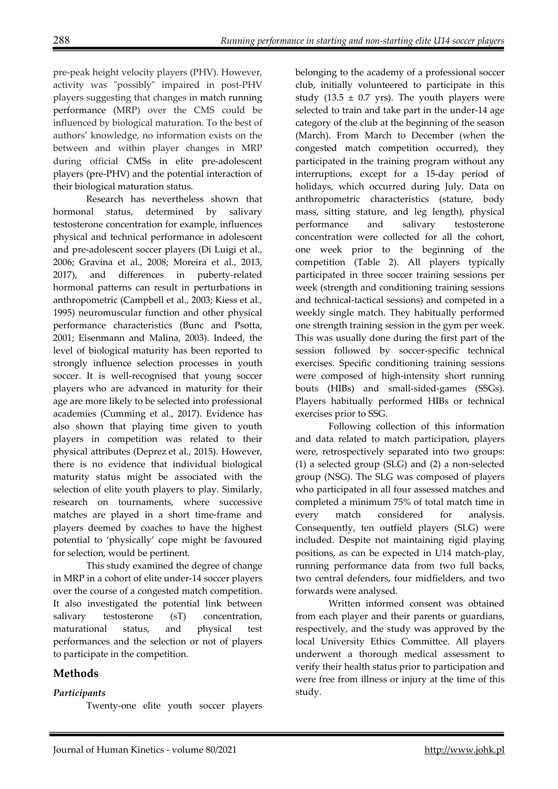pre-peak height velocity players (PHV). However, activity was "possibly" impaired in post-PHV players suggesting that changes in match running performance (MRP) over the CMS could be influenced by biological maturation. To the best of authors' knowledge, no information exists on the between and within player changes in MRP during official CMSs in elite pre-adolescent players (pre-PHV) and the potential interaction of their biological maturation status.

Research has nevertheless shown that hormonal status, determined by salivary testosterone concentration for example, influences physical and technical performance in adolescent and pre-adolescent soccer players (Di Luigi et al., 2006; Gravina et al., 2008; Moreira et al., 2013, 2017), and differences in puberty-related hormonal patterns can result in perturbations in anthropometric (Campbell et al., 2003; Kiess et al., 1995) neuromuscular function and other physical performance characteristics (Bunc and Psotta, 2001; Eisenmann and Malina, 2003). Indeed, the level of biological maturity has been reported to strongly influence selection processes in youth soccer. It is well-recognised that young soccer players who are advanced in maturity for their age are more likely to be selected into professional academies (Cumming et al., 2017). Evidence has also shown that playing time given to youth players in competition was related to their physical attributes (Deprez et al., 2015). However, there is no evidence that individual biological maturity status might be associated with the selection of elite youth players to play. Similarly, research on tournaments, where successive matches are played in a short time-frame and players deemed by coaches to have the highest potential to 'physically' cope might be favoured for selection, would be pertinent.

This study examined the degree of change in MRP in a cohort of elite under-14 soccer players over the course of a congested match competition. It also investigated the potential link between salivary testosterone (sT) concentration, maturational status, and physical test performances and the selection or not of players to participate in the competition.

## **Methods**

## *Participants*

Twenty-one elite youth soccer players

belonging to the academy of a professional soccer club, initially volunteered to participate in this study (13.5  $\pm$  0.7 yrs). The youth players were selected to train and take part in the under-14 age category of the club at the beginning of the season (March). From March to December (when the congested match competition occurred), they participated in the training program without any interruptions, except for a 15-day period of holidays, which occurred during July. Data on anthropometric characteristics (stature, body mass, sitting stature, and leg length), physical performance and salivary testosterone concentration were collected for all the cohort, one week prior to the beginning of the competition (Table 2). All players typically participated in three soccer training sessions per week (strength and conditioning training sessions and technical-tactical sessions) and competed in a weekly single match. They habitually performed one strength training session in the gym per week. This was usually done during the first part of the session followed by soccer-specific technical exercises. Specific conditioning training sessions were composed of high-intensity short running bouts (HIBs) and small-sided-games (SSGs). Players habitually performed HIBs or technical exercises prior to SSG.

Following collection of this information and data related to match participation, players were, retrospectively separated into two groups: (1) a selected group (SLG) and (2) a non-selected group (NSG). The SLG was composed of players who participated in all four assessed matches and completed a minimum 75% of total match time in every match considered for analysis. Consequently, ten outfield players (SLG) were included. Despite not maintaining rigid playing positions, as can be expected in U14 match-play, running performance data from two full backs, two central defenders, four midfielders, and two forwards were analysed.

Written informed consent was obtained from each player and their parents or guardians, respectively, and the study was approved by the local University Ethics Committee. All players underwent a thorough medical assessment to verify their health status prior to participation and were free from illness or injury at the time of this study.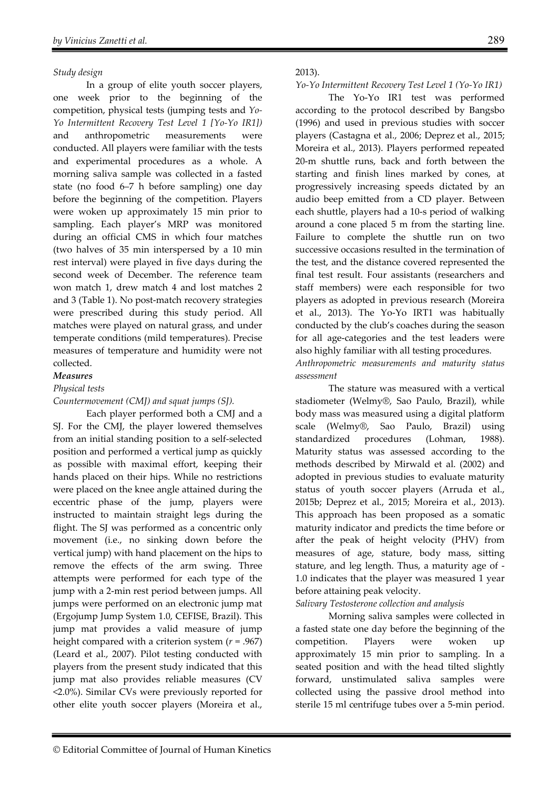### *Study design*

In a group of elite youth soccer players, one week prior to the beginning of the competition, physical tests (jumping tests and *Yo-Yo Intermittent Recovery Test Level 1 [Yo-Yo IR1])*  and anthropometric measurements were conducted. All players were familiar with the tests and experimental procedures as a whole. A morning saliva sample was collected in a fasted state (no food 6–7 h before sampling) one day before the beginning of the competition. Players were woken up approximately 15 min prior to sampling. Each player's MRP was monitored during an official CMS in which four matches (two halves of 35 min interspersed by a 10 min rest interval) were played in five days during the second week of December. The reference team won match 1, drew match 4 and lost matches 2 and 3 (Table 1). No post-match recovery strategies were prescribed during this study period. All matches were played on natural grass, and under temperate conditions (mild temperatures). Precise measures of temperature and humidity were not collected.

### *Measures*

#### *Physical tests*

#### *Countermovement (CMJ) and squat jumps (SJ).*

Each player performed both a CMJ and a SJ. For the CMJ, the player lowered themselves from an initial standing position to a self-selected position and performed a vertical jump as quickly as possible with maximal effort, keeping their hands placed on their hips. While no restrictions were placed on the knee angle attained during the eccentric phase of the jump, players were instructed to maintain straight legs during the flight. The SJ was performed as a concentric only movement (i.e., no sinking down before the vertical jump) with hand placement on the hips to remove the effects of the arm swing. Three attempts were performed for each type of the jump with a 2-min rest period between jumps. All jumps were performed on an electronic jump mat (Ergojump Jump System 1.0, CEFISE, Brazil). This jump mat provides a valid measure of jump height compared with a criterion system (*r* = .967) (Leard et al., 2007). Pilot testing conducted with players from the present study indicated that this jump mat also provides reliable measures (CV <2.0%). Similar CVs were previously reported for other elite youth soccer players (Moreira et al.,

### 2013).

## *Yo-Yo Intermittent Recovery Test Level 1 (Yo-Yo IR1)*

The Yo-Yo IR1 test was performed according to the protocol described by Bangsbo (1996) and used in previous studies with soccer players (Castagna et al., 2006; Deprez et al., 2015; Moreira et al., 2013). Players performed repeated 20-m shuttle runs, back and forth between the starting and finish lines marked by cones, at progressively increasing speeds dictated by an audio beep emitted from a CD player. Between each shuttle, players had a 10-s period of walking around a cone placed 5 m from the starting line. Failure to complete the shuttle run on two successive occasions resulted in the termination of the test, and the distance covered represented the final test result. Four assistants (researchers and staff members) were each responsible for two players as adopted in previous research (Moreira et al., 2013). The Yo-Yo IRT1 was habitually conducted by the club's coaches during the season for all age-categories and the test leaders were also highly familiar with all testing procedures. *Anthropometric measurements and maturity status assessment* 

The stature was measured with a vertical stadiometer (Welmy®, Sao Paulo, Brazil), while body mass was measured using a digital platform scale (Welmy®, Sao Paulo, Brazil) using standardized procedures (Lohman, 1988). Maturity status was assessed according to the methods described by Mirwald et al. (2002) and adopted in previous studies to evaluate maturity status of youth soccer players (Arruda et al., 2015b; Deprez et al., 2015; Moreira et al., 2013). This approach has been proposed as a somatic maturity indicator and predicts the time before or after the peak of height velocity (PHV) from measures of age, stature, body mass, sitting stature, and leg length. Thus, a maturity age of - 1.0 indicates that the player was measured 1 year before attaining peak velocity.

#### *Salivary Testosterone collection and analysis*

Morning saliva samples were collected in a fasted state one day before the beginning of the competition. Players were woken up approximately 15 min prior to sampling. In a seated position and with the head tilted slightly forward, unstimulated saliva samples were collected using the passive drool method into sterile 15 ml centrifuge tubes over a 5-min period.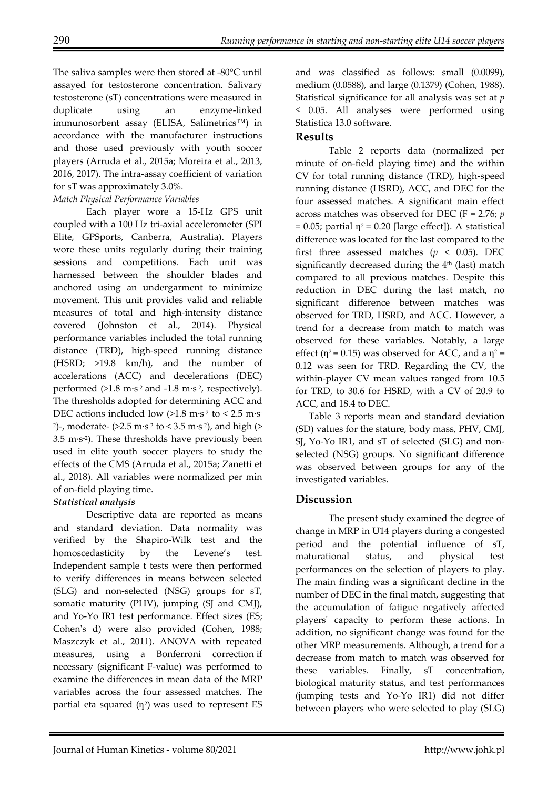The saliva samples were then stored at -80°C until assayed for testosterone concentration. Salivary testosterone (sT) concentrations were measured in duplicate using an enzyme-linked immunosorbent assay (ELISA, Salimetrics™) in accordance with the manufacturer instructions and those used previously with youth soccer players (Arruda et al., 2015a; Moreira et al., 2013, 2016, 2017). The intra-assay coefficient of variation for sT was approximately 3.0%.

## *Match Physical Performance Variables*

Each player wore a 15-Hz GPS unit coupled with a 100 Hz tri-axial accelerometer (SPI Elite, GPSports, Canberra, Australia). Players wore these units regularly during their training sessions and competitions. Each unit was harnessed between the shoulder blades and anchored using an undergarment to minimize movement. This unit provides valid and reliable measures of total and high-intensity distance covered (Johnston et al., 2014). Physical performance variables included the total running distance (TRD), high-speed running distance (HSRD; >19.8 km/h), and the number of accelerations (ACC) and decelerations (DEC) performed  $(>1.8 \text{ m}\cdot\text{s}^{-2} \text{ and } -1.8 \text{ m}\cdot\text{s}^{-2})$ , respectively). The thresholds adopted for determining ACC and DEC actions included low  $(>1.8 \text{ m} \cdot \text{s}^{-2} \text{ to } < 2.5 \text{ m} \cdot \text{s}^{-1})$ <sup>2</sup>)-, moderate- ( $>2.5$  m·s<sup>-2</sup> to < 3.5 m·s<sup>-2</sup>), and high ( $>$  $3.5 \text{ m·s}$ <sup>2</sup>). These thresholds have previously been used in elite youth soccer players to study the effects of the CMS (Arruda et al., 2015a; Zanetti et al., 2018). All variables were normalized per min of on-field playing time.

# *Statistical analysis*

Descriptive data are reported as means and standard deviation. Data normality was verified by the Shapiro-Wilk test and the homoscedasticity by the Levene's test. Independent sample t tests were then performed to verify differences in means between selected (SLG) and non-selected (NSG) groups for sT, somatic maturity (PHV), jumping (SJ and CMJ), and Yo-Yo IR1 test performance. Effect sizes (ES; Cohen's d) were also provided (Cohen, 1988; Maszczyk et al., 2011). ANOVA with repeated measures, using a Bonferroni correction if necessary (significant F-value) was performed to examine the differences in mean data of the MRP variables across the four assessed matches. The partial eta squared  $(n^2)$  was used to represent ES

and was classified as follows: small (0.0099), medium (0.0588), and large (0.1379) (Cohen, 1988). Statistical significance for all analysis was set at *p* ≤ 0.05. All analyses were performed using Statistica 13.0 software.

## **Results**

Table 2 reports data (normalized per minute of on-field playing time) and the within CV for total running distance (TRD), high-speed running distance (HSRD), ACC, and DEC for the four assessed matches. A significant main effect across matches was observed for DEC (F = 2.76; *p*  $= 0.05$ ; partial  $\eta^2 = 0.20$  [large effect]). A statistical difference was located for the last compared to the first three assessed matches ( $p < 0.05$ ). DEC significantly decreased during the 4<sup>th</sup> (last) match compared to all previous matches. Despite this reduction in DEC during the last match, no significant difference between matches was observed for TRD, HSRD, and ACC. However, a trend for a decrease from match to match was observed for these variables. Notably, a large effect ( $\eta^2$ = 0.15) was observed for ACC, and a  $\eta^2$  = 0.12 was seen for TRD. Regarding the CV, the within-player CV mean values ranged from 10.5 for TRD, to 30.6 for HSRD, with a CV of 20.9 to ACC, and 18.4 to DEC.

Table 3 reports mean and standard deviation (SD) values for the stature, body mass, PHV, CMJ, SJ, Yo-Yo IR1, and sT of selected (SLG) and nonselected (NSG) groups. No significant difference was observed between groups for any of the investigated variables.

# **Discussion**

The present study examined the degree of change in MRP in U14 players during a congested period and the potential influence of sT, maturational status, and physical test performances on the selection of players to play. The main finding was a significant decline in the number of DEC in the final match, suggesting that the accumulation of fatigue negatively affected players' capacity to perform these actions. In addition, no significant change was found for the other MRP measurements. Although, a trend for a decrease from match to match was observed for these variables. Finally, sT concentration, biological maturity status, and test performances (jumping tests and Yo-Yo IR1) did not differ between players who were selected to play (SLG)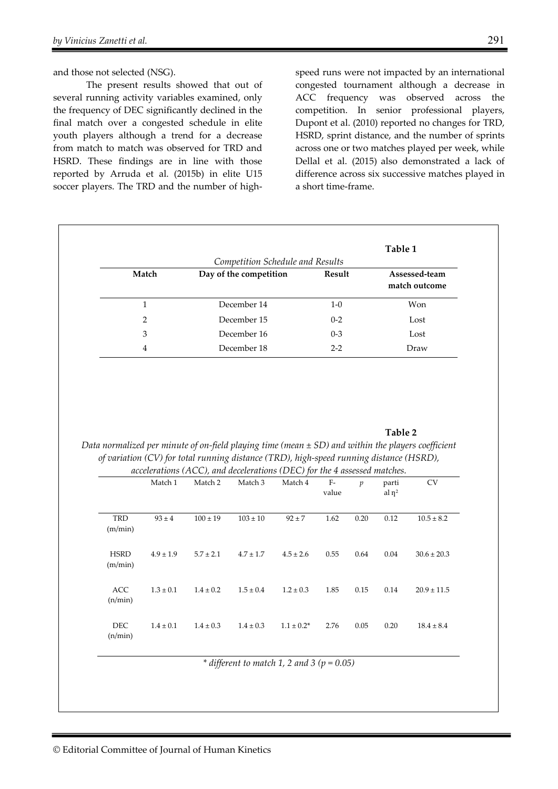The present results showed that out of several running activity variables examined, only the frequency of DEC significantly declined in the final match over a congested schedule in elite youth players although a trend for a decrease from match to match was observed for TRD and HSRD. These findings are in line with those reported by Arruda et al. (2015b) in elite U15 soccer players. The TRD and the number of highspeed runs were not impacted by an international congested tournament although a decrease in ACC frequency was observed across the competition. In senior professional players, Dupont et al. (2010) reported no changes for TRD, HSRD, sprint distance, and the number of sprints across one or two matches played per week, while Dellal et al. (2015) also demonstrated a lack of difference across six successive matches played in a short time-frame.

| Match<br>$\mathbf{1}$<br>$\overline{2}$<br>3<br>$\overline{4}$ |               | Day of the competition<br>December 14<br>December 15<br>December 16<br>December 18 |               |                 | Result<br>$1-0$<br>$0 - 2$<br>$0 - 3$<br>$2 - 2$ |      | Assessed-team<br>match outcome<br>Won<br>Lost<br>Lost<br>Draw |                 |                        |                                                                                                    |                                                                                     |                    |               |               |                |                                                                                                        |                 |
|----------------------------------------------------------------|---------------|------------------------------------------------------------------------------------|---------------|-----------------|--------------------------------------------------|------|---------------------------------------------------------------|-----------------|------------------------|----------------------------------------------------------------------------------------------------|-------------------------------------------------------------------------------------|--------------------|---------------|---------------|----------------|--------------------------------------------------------------------------------------------------------|-----------------|
|                                                                |               |                                                                                    |               |                 |                                                  |      |                                                               |                 |                        |                                                                                                    |                                                                                     |                    |               |               |                | Data normalized per minute of on-field playing time (mean $\pm$ SD) and within the players coefficient |                 |
|                                                                |               |                                                                                    |               |                 |                                                  |      |                                                               |                 |                        | of variation (CV) for total running distance (TRD), high-speed running distance (HSRD),<br>Match 1 | accelerations (ACC), and decelerations (DEC) for the 4 assessed matches.<br>Match 2 | Match <sub>3</sub> | Match 4       | $F-$<br>value | $\mathfrak{p}$ | parti<br>al $\eta^2$                                                                                   | CV              |
|                                                                |               |                                                                                    |               |                 |                                                  |      |                                                               |                 | <b>TRD</b><br>(m/min)  | $93 \pm 4$                                                                                         | $100\pm19$                                                                          | $103\pm10$         | $92 \pm 7$    | 1.62          | 0.20           | 0.12                                                                                                   | $10.5\pm8.2$    |
|                                                                |               |                                                                                    |               |                 |                                                  |      |                                                               |                 | <b>HSRD</b><br>(m/min) | $4.9 \pm 1.9$                                                                                      | $5.7 \pm 2.1$                                                                       | $4.7 \pm 1.7$      | $4.5 \pm 2.6$ | 0.55          | 0.64           | $0.04\,$                                                                                               | $30.6 \pm 20.3$ |
| <b>ACC</b><br>(n/min)                                          | $1.3\pm0.1$   | $1.4 \pm 0.2$                                                                      | $1.5 \pm 0.4$ | $1.2 \pm 0.3$   | 1.85                                             | 0.15 | 0.14                                                          | $20.9 \pm 11.5$ |                        |                                                                                                    |                                                                                     |                    |               |               |                |                                                                                                        |                 |
| <b>DEC</b><br>(n/min)                                          | $1.4 \pm 0.1$ | $1.4 \pm 0.3$                                                                      | $1.4 \pm 0.3$ | $1.1 \pm 0.2^*$ | 2.76                                             | 0.05 | 0.20                                                          | $18.4 \pm 8.4$  |                        |                                                                                                    |                                                                                     |                    |               |               |                |                                                                                                        |                 |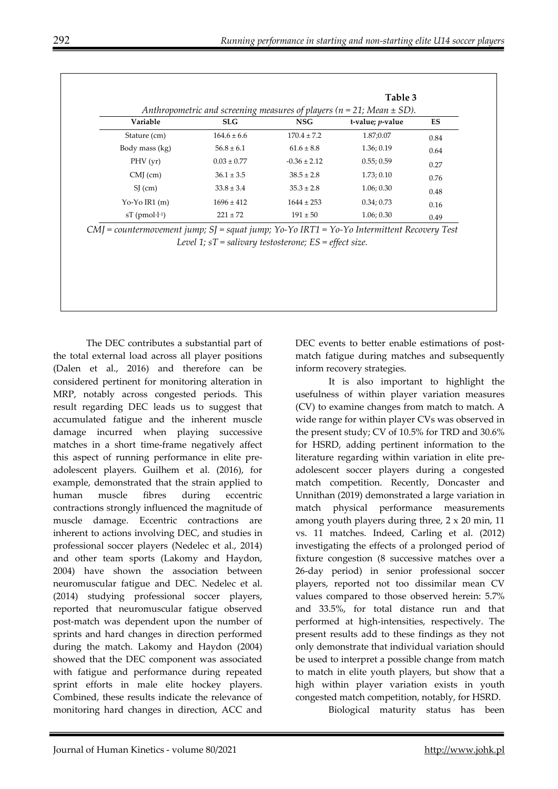|                             |                 | Table 3<br>Anthropometric and screening measures of players ( $n = 21$ ; Mean $\pm$ SD). |                          |      |  |  |
|-----------------------------|-----------------|------------------------------------------------------------------------------------------|--------------------------|------|--|--|
| Variable                    | <b>SLG</b>      | <b>NSG</b>                                                                               | t-value; <i>p</i> -value | ES   |  |  |
| Stature (cm)                | $164.6 \pm 6.6$ | $170.4 \pm 7.2$                                                                          | 1.87;0.07                | 0.84 |  |  |
| Body mass (kg)              | $56.8 \pm 6.1$  | $61.6 \pm 8.8$                                                                           | 1.36; 0.19               | 0.64 |  |  |
| PHV(yr)                     | $0.03 \pm 0.77$ | $-0.36 \pm 2.12$                                                                         | 0.55; 0.59               | 0.27 |  |  |
| $CMJ$ (cm)                  | $36.1 \pm 3.5$  | $38.5 \pm 2.8$                                                                           | 1.73; 0.10               | 0.76 |  |  |
| $SI$ (cm)                   | $33.8 \pm 3.4$  | $35.3 \pm 2.8$                                                                           | 1.06; 0.30               | 0.48 |  |  |
| $Yo-Yo IR1(m)$              | $1696 \pm 412$  | $1644 \pm 253$                                                                           | 0.34; 0.73               | 0.16 |  |  |
| $ST$ (pmol $\cdot l^{-1}$ ) | $221 \pm 72$    | $191 \pm 50$                                                                             | 1.06; 0.30               | 0.49 |  |  |

*CMJ = countermovement jump; SJ = squat jump; Yo-Yo IRT1 = Yo-Yo Intermittent Recovery Test Level 1; sT = salivary testosterone; ES = effect size.* 

The DEC contributes a substantial part of the total external load across all player positions (Dalen et al., 2016) and therefore can be considered pertinent for monitoring alteration in MRP, notably across congested periods. This result regarding DEC leads us to suggest that accumulated fatigue and the inherent muscle damage incurred when playing successive matches in a short time-frame negatively affect this aspect of running performance in elite preadolescent players. Guilhem et al. (2016), for example, demonstrated that the strain applied to human muscle fibres during eccentric contractions strongly influenced the magnitude of muscle damage. Eccentric contractions are inherent to actions involving DEC, and studies in professional soccer players (Nedelec et al., 2014) and other team sports (Lakomy and Haydon, 2004) have shown the association between neuromuscular fatigue and DEC. Nedelec et al. (2014) studying professional soccer players, reported that neuromuscular fatigue observed post-match was dependent upon the number of sprints and hard changes in direction performed during the match. Lakomy and Haydon (2004) showed that the DEC component was associated with fatigue and performance during repeated sprint efforts in male elite hockey players. Combined, these results indicate the relevance of monitoring hard changes in direction, ACC and

DEC events to better enable estimations of postmatch fatigue during matches and subsequently inform recovery strategies.

It is also important to highlight the usefulness of within player variation measures (CV) to examine changes from match to match. A wide range for within player CVs was observed in the present study; CV of 10.5% for TRD and 30.6% for HSRD, adding pertinent information to the literature regarding within variation in elite preadolescent soccer players during a congested match competition. Recently, Doncaster and Unnithan (2019) demonstrated a large variation in match physical performance measurements among youth players during three, 2 x 20 min, 11 vs. 11 matches. Indeed, Carling et al. (2012) investigating the effects of a prolonged period of fixture congestion (8 successive matches over a 26-day period) in senior professional soccer players, reported not too dissimilar mean CV values compared to those observed herein: 5.7% and 33.5%, for total distance run and that performed at high-intensities, respectively. The present results add to these findings as they not only demonstrate that individual variation should be used to interpret a possible change from match to match in elite youth players, but show that a high within player variation exists in youth congested match competition, notably, for HSRD.

Biological maturity status has been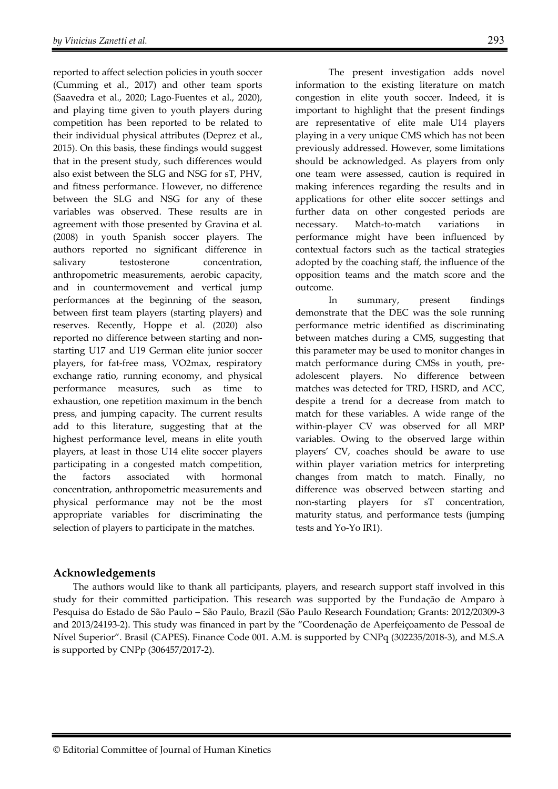reported to affect selection policies in youth soccer (Cumming et al., 2017) and other team sports (Saavedra et al., 2020; Lago-Fuentes et al., 2020), and playing time given to youth players during competition has been reported to be related to their individual physical attributes (Deprez et al., 2015). On this basis, these findings would suggest that in the present study, such differences would also exist between the SLG and NSG for sT, PHV, and fitness performance. However, no difference between the SLG and NSG for any of these variables was observed. These results are in agreement with those presented by Gravina et al. (2008) in youth Spanish soccer players. The authors reported no significant difference in salivary testosterone concentration, anthropometric measurements, aerobic capacity, and in countermovement and vertical jump performances at the beginning of the season, between first team players (starting players) and reserves. Recently, Hoppe et al. (2020) also reported no difference between starting and nonstarting U17 and U19 German elite junior soccer players, for fat-free mass, VO2max, respiratory exchange ratio, running economy, and physical performance measures, such as time to exhaustion, one repetition maximum in the bench press, and jumping capacity. The current results add to this literature, suggesting that at the highest performance level, means in elite youth players, at least in those U14 elite soccer players participating in a congested match competition, the factors associated with hormonal concentration, anthropometric measurements and physical performance may not be the most appropriate variables for discriminating the selection of players to participate in the matches.

The present investigation adds novel information to the existing literature on match congestion in elite youth soccer. Indeed, it is important to highlight that the present findings are representative of elite male U14 players playing in a very unique CMS which has not been previously addressed. However, some limitations should be acknowledged. As players from only one team were assessed, caution is required in making inferences regarding the results and in applications for other elite soccer settings and further data on other congested periods are necessary. Match-to-match variations in performance might have been influenced by contextual factors such as the tactical strategies adopted by the coaching staff, the influence of the opposition teams and the match score and the outcome.

In summary, present findings demonstrate that the DEC was the sole running performance metric identified as discriminating between matches during a CMS, suggesting that this parameter may be used to monitor changes in match performance during CMSs in youth, preadolescent players. No difference between matches was detected for TRD, HSRD, and ACC, despite a trend for a decrease from match to match for these variables. A wide range of the within-player CV was observed for all MRP variables. Owing to the observed large within players' CV, coaches should be aware to use within player variation metrics for interpreting changes from match to match. Finally, no difference was observed between starting and non-starting players for sT concentration, maturity status, and performance tests (jumping tests and Yo-Yo IR1).

## **Acknowledgements**

The authors would like to thank all participants, players, and research support staff involved in this study for their committed participation. This research was supported by the Fundação de Amparo à Pesquisa do Estado de São Paulo – São Paulo, Brazil (São Paulo Research Foundation; Grants: 2012/20309-3 and 2013/24193-2). This study was financed in part by the "Coordenação de Aperfeiçoamento de Pessoal de Nível Superior". Brasil (CAPES). Finance Code 001. A.M. is supported by CNPq (302235/2018-3), and M.S.A is supported by CNPp (306457/2017-2).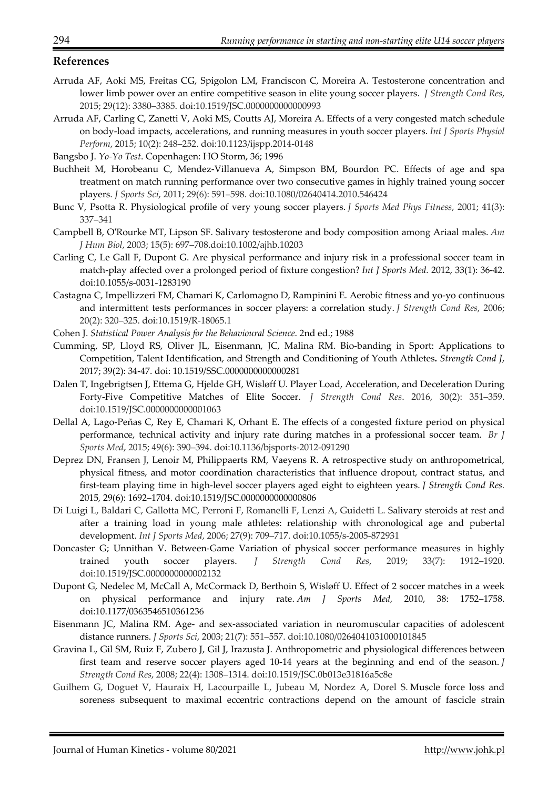## **References**

- Arruda AF, Aoki MS, Freitas CG, Spigolon LM, Franciscon C, Moreira A. Testosterone concentration and lower limb power over an entire competitive season in elite young soccer players. *J Strength Cond Res*, 2015; 29(12): 3380–3385. doi:10.1519/JSC.0000000000000993
- Arruda AF, Carling C, Zanetti V, Aoki MS, Coutts AJ, Moreira A. Effects of a very congested match schedule on body-load impacts, accelerations, and running measures in youth soccer players. *Int J Sports Physiol Perform*, 2015; 10(2): 248–252. doi:10.1123/ijspp.2014-0148
- Bangsbo J. *Yo-Yo Test*. Copenhagen: HO Storm, 36; 1996
- Buchheit M, Horobeanu C, Mendez-Villanueva A, Simpson BM, Bourdon PC. Effects of age and spa treatment on match running performance over two consecutive games in highly trained young soccer players. *J Sports Sci*, 2011; 29(6): 591–598. doi:10.1080/02640414.2010.546424
- Bunc V, Psotta R. Physiological profile of very young soccer players. *J Sports Med Phys Fitness*, 2001; 41(3): 337–341
- Campbell B, O'Rourke MT, Lipson SF. Salivary testosterone and body composition among Ariaal males. *Am J Hum Biol*, 2003; 15(5): 697–708.doi:10.1002/ajhb.10203
- Carling C, Le Gall F, Dupont G. Are physical performance and injury risk in a professional soccer team in match-play affected over a prolonged period of fixture congestion? *Int J Sports Med.* 2012, 33(1): 36-42. doi:10.1055/s-0031-1283190
- Castagna C, Impellizzeri FM, Chamari K, Carlomagno D, Rampinini E. Aerobic fitness and yo-yo continuous and intermittent tests performances in soccer players: a correlation study. *J Strength Cond Res*, 2006; 20(2): 320–325. doi:10.1519/R-18065.1
- Cohen J. *Statistical Power Analysis for the Behavioural Science*. 2nd ed.; 1988
- Cumming, SP, Lloyd RS, Oliver JL, Eisenmann, JC, Malina RM. Bio-banding in Sport: Applications to Competition, Talent Identification, and Strength and Conditioning of Youth Athletes**.** *Strength Cond J*, 2017; 39(2): 34-47. doi: 10.1519/SSC.0000000000000281
- Dalen T, Ingebrigtsen J, Ettema G, Hjelde GH, Wisløff U. Player Load, Acceleration, and Deceleration During Forty-Five Competitive Matches of Elite Soccer. *J Strength Cond Res*. 2016, 30(2): 351–359. doi:10.1519/JSC.0000000000001063
- Dellal A, Lago-Peñas C, Rey E, Chamari K, Orhant E. The effects of a congested fixture period on physical performance, technical activity and injury rate during matches in a professional soccer team. *Br J Sports Med*, 2015; 49(6): 390–394. doi:10.1136/bjsports-2012-091290
- Deprez DN, Fransen J, Lenoir M, Philippaerts RM, Vaeyens R. A retrospective study on anthropometrical, physical fitness, and motor coordination characteristics that influence dropout, contract status, and first-team playing time in high-level soccer players aged eight to eighteen years. *J Strength Cond Res.*  2015*,* 29(6): 1692–1704. doi:10.1519/JSC.0000000000000806
- Di Luigi L, Baldari C, Gallotta MC, Perroni F, Romanelli F, Lenzi A, Guidetti L. Salivary steroids at rest and after a training load in young male athletes: relationship with chronological age and pubertal development. *Int J Sports Med*, 2006; 27(9): 709–717. doi:10.1055/s-2005-872931
- Doncaster G; Unnithan V. Between-Game Variation of physical soccer performance measures in highly trained youth soccer players. *J Strength Cond Res*, 2019; 33(7): 1912–1920. doi:10.1519/JSC.0000000000002132
- Dupont G, Nedelec M, McCall A, McCormack D, Berthoin S, Wisløff U. Effect of 2 soccer matches in a week on physical performance and injury rate. *Am J Sports Med,* 2010, 38: 1752–1758. doi:10.1177/0363546510361236
- Eisenmann JC, Malina RM. Age- and sex-associated variation in neuromuscular capacities of adolescent distance runners. *J Sports Sci*, 2003; 21(7): 551–557. doi:10.1080/0264041031000101845
- Gravina L, Gil SM, Ruiz F, Zubero J, Gil J, Irazusta J. Anthropometric and physiological differences between first team and reserve soccer players aged 10-14 years at the beginning and end of the season. *J Strength Cond Res*, 2008; 22(4): 1308–1314. doi:10.1519/JSC.0b013e31816a5c8e
- Guilhem G, Doguet V, Hauraix H, Lacourpaille L, Jubeau M, Nordez A, Dorel S. Muscle force loss and soreness subsequent to maximal eccentric contractions depend on the amount of fascicle strain